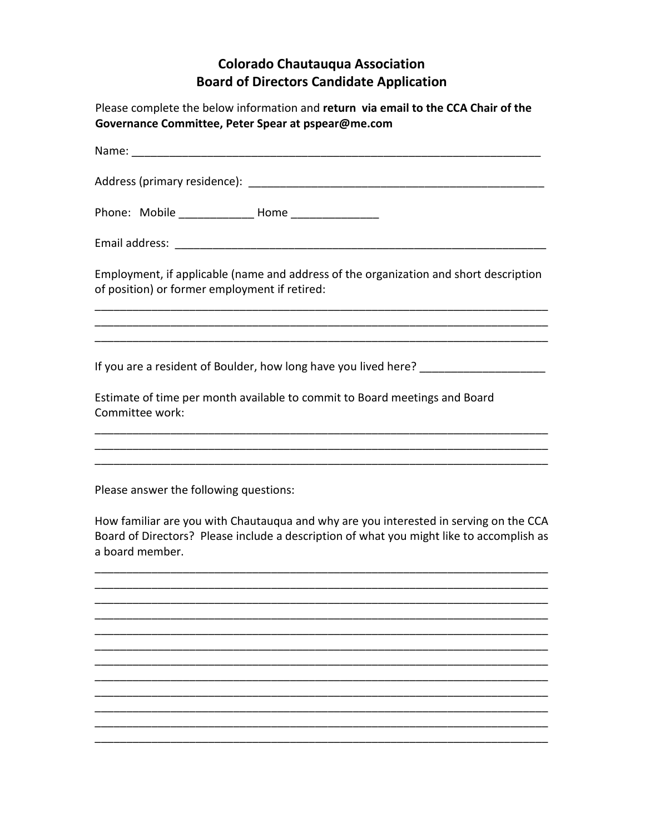## **Colorado Chautauqua Association Board of Directors Candidate Application**

Please complete the below information and return via email to the CCA Chair of the Governance Committee, Peter Spear at pspear@me.com

| Name: when the contract of the contract of the contract of the contract of the contract of the contract of the contract of the contract of the contract of the contract of the contract of the contract of the contract of the |
|--------------------------------------------------------------------------------------------------------------------------------------------------------------------------------------------------------------------------------|
|                                                                                                                                                                                                                                |
| Phone: Mobile ____________________ Home ___________________                                                                                                                                                                    |
|                                                                                                                                                                                                                                |
| Employment, if applicable (name and address of the organization and short description<br>of position) or former employment if retired:                                                                                         |
|                                                                                                                                                                                                                                |
| If you are a resident of Boulder, how long have you lived here? _________________<br>Estimate of time per month available to commit to Board meetings and Board<br>Committee work:                                             |
|                                                                                                                                                                                                                                |
| Please answer the following questions:                                                                                                                                                                                         |
| How familiar are you with Chautauqua and why are you interested in serving on the CCA<br>Board of Directors? Please include a description of what you might like to accomplish as<br>a board member.                           |

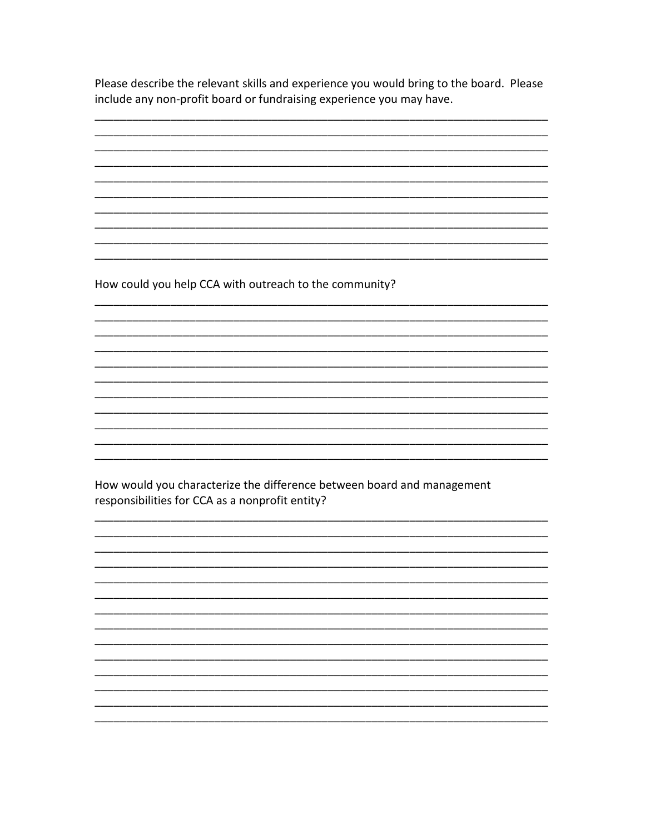Please describe the relevant skills and experience you would bring to the board. Please include any non-profit board or fundraising experience you may have.

How could you help CCA with outreach to the community?

How would you characterize the difference between board and management responsibilities for CCA as a nonprofit entity?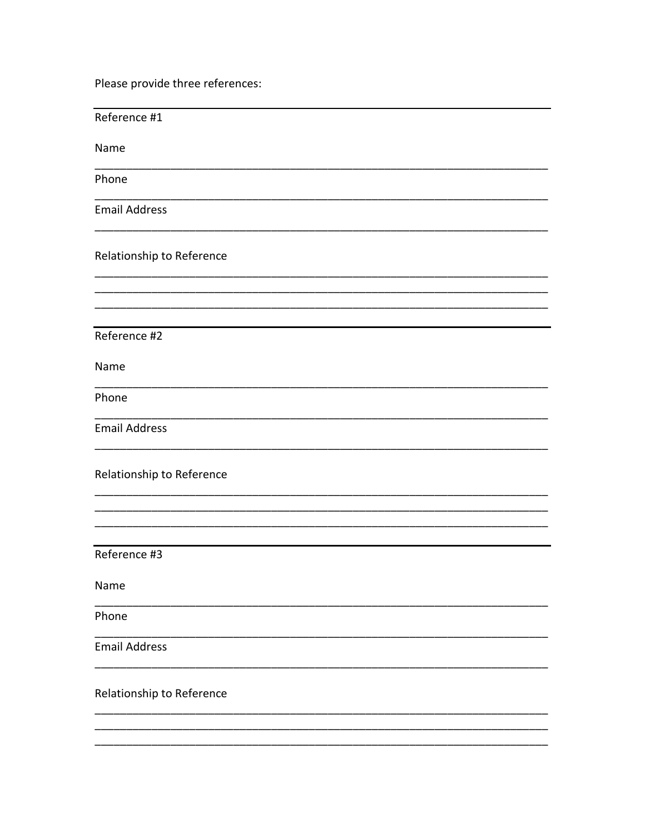Please provide three references:

| Reference #1              |
|---------------------------|
| Name                      |
| Phone                     |
| <b>Email Address</b>      |
| Relationship to Reference |
|                           |
| Reference #2              |
| Name                      |
| Phone                     |
| <b>Email Address</b>      |
| Relationship to Reference |
|                           |
| Reference #3              |
| Name                      |
| Phone                     |
| <b>Email Address</b>      |
| Relationship to Reference |
|                           |